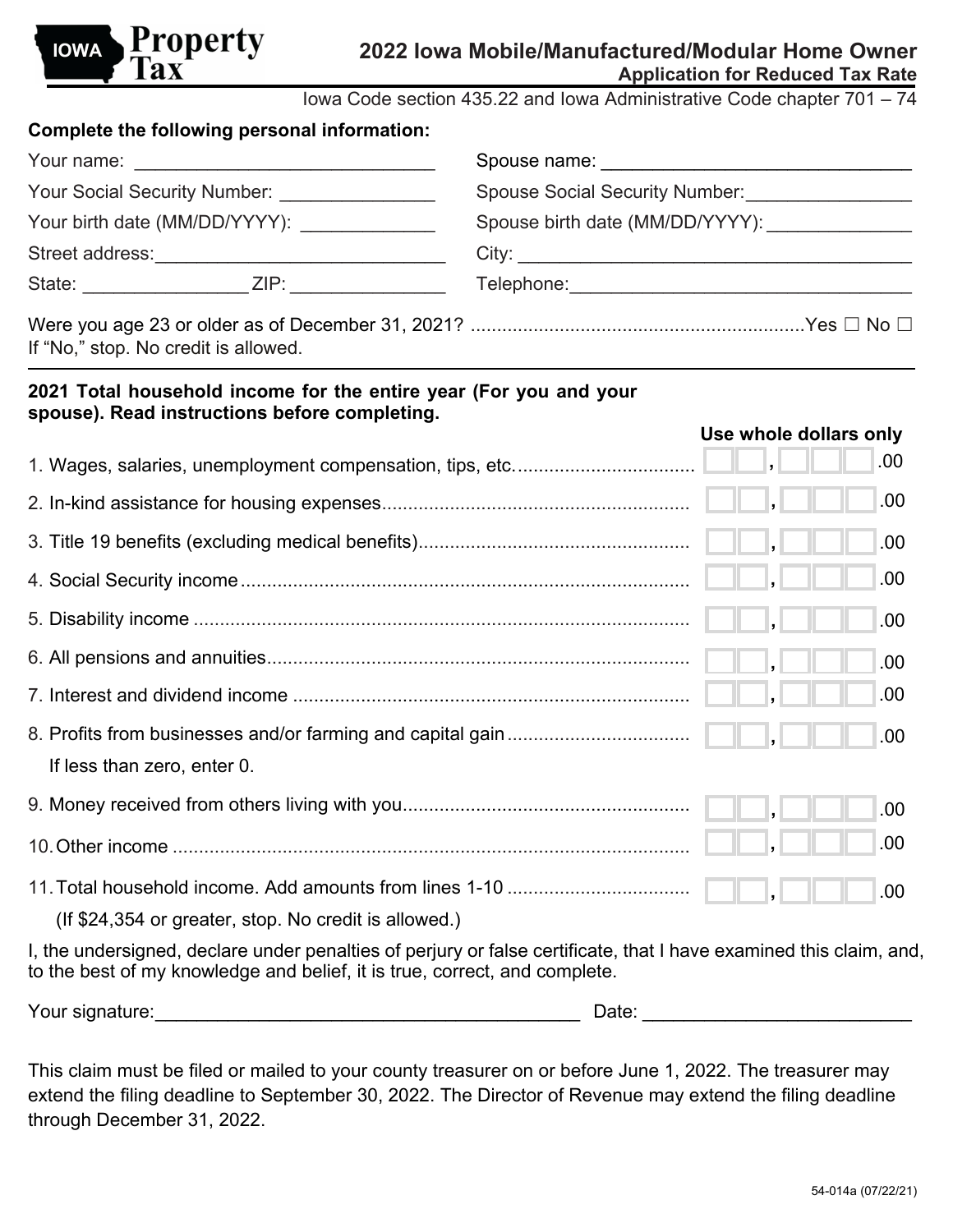

Iowa Code section 435.22 and Iowa Administrative Code chapter 701 – 74

| Complete the following personal information:   |  |                                               |  |  |
|------------------------------------------------|--|-----------------------------------------------|--|--|
|                                                |  |                                               |  |  |
| Your Social Security Number: _________________ |  | Spouse Social Security Number: ______________ |  |  |
| Your birth date (MM/DD/YYYY): ________________ |  | Spouse birth date (MM/DD/YYYY):               |  |  |
|                                                |  |                                               |  |  |
|                                                |  |                                               |  |  |
|                                                |  |                                               |  |  |

If "No," stop. No credit is allowed.

## **2021 Total household income for the entire year (For you and your spouse). Read instructions before completing.**

|                                                                                                                   | .00  |
|-------------------------------------------------------------------------------------------------------------------|------|
|                                                                                                                   | .00. |
|                                                                                                                   | .00. |
|                                                                                                                   | .00. |
|                                                                                                                   | .00. |
|                                                                                                                   | .00. |
|                                                                                                                   | .00. |
|                                                                                                                   | .00. |
| If less than zero, enter 0.                                                                                       |      |
|                                                                                                                   | .00. |
|                                                                                                                   | .00. |
|                                                                                                                   | .00  |
| (If \$24,354 or greater, stop. No credit is allowed.)                                                             |      |
| I, the undersigned, declare under penalties of perjury or false certificate, that I have examined this claim, and |      |

I, the undersigned, declare under penalties of perjury or false certificate, that I have examined this claim, and, to the best of my knowledge and belief, it is true, correct, and complete.

| Your signature: | Jale |  |
|-----------------|------|--|
|-----------------|------|--|

This claim must be filed or mailed to your county treasurer on or before June 1, 2022. The treasurer may extend the filing deadline to September 30, 2022. The Director of Revenue may extend the filing deadline through December 31, 2022.

**Use whole dollars only**